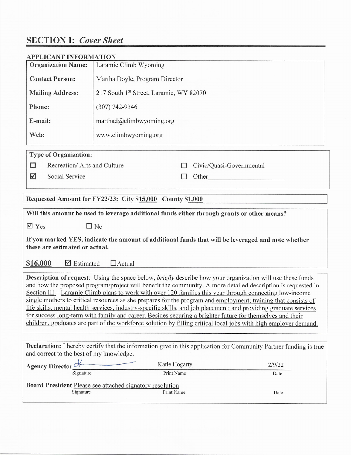# **SECTION I: Cover Sheet**

| <b>APPLICANT INFORMATION</b>                                                                                                                                                                                                                                                                                                                                                                                                                                                                                                                                                                                                                                                                                                                                                                                                 |                                                                                             |                                                                                                                                                                                                                                |  |
|------------------------------------------------------------------------------------------------------------------------------------------------------------------------------------------------------------------------------------------------------------------------------------------------------------------------------------------------------------------------------------------------------------------------------------------------------------------------------------------------------------------------------------------------------------------------------------------------------------------------------------------------------------------------------------------------------------------------------------------------------------------------------------------------------------------------------|---------------------------------------------------------------------------------------------|--------------------------------------------------------------------------------------------------------------------------------------------------------------------------------------------------------------------------------|--|
| <b>Organization Name:</b>                                                                                                                                                                                                                                                                                                                                                                                                                                                                                                                                                                                                                                                                                                                                                                                                    | Laramie Climb Wyoming                                                                       |                                                                                                                                                                                                                                |  |
| <b>Contact Person:</b>                                                                                                                                                                                                                                                                                                                                                                                                                                                                                                                                                                                                                                                                                                                                                                                                       | Martha Doyle, Program Director                                                              |                                                                                                                                                                                                                                |  |
| <b>Mailing Address:</b>                                                                                                                                                                                                                                                                                                                                                                                                                                                                                                                                                                                                                                                                                                                                                                                                      | 217 South 1st Street, Laramie, WY 82070                                                     |                                                                                                                                                                                                                                |  |
| Phone:                                                                                                                                                                                                                                                                                                                                                                                                                                                                                                                                                                                                                                                                                                                                                                                                                       | $(307) 742 - 9346$                                                                          |                                                                                                                                                                                                                                |  |
| E-mail:                                                                                                                                                                                                                                                                                                                                                                                                                                                                                                                                                                                                                                                                                                                                                                                                                      | marthad@climbwyoming.org                                                                    |                                                                                                                                                                                                                                |  |
| Web:                                                                                                                                                                                                                                                                                                                                                                                                                                                                                                                                                                                                                                                                                                                                                                                                                         | www.climbwyoming.org                                                                        |                                                                                                                                                                                                                                |  |
| <b>Type of Organization:</b>                                                                                                                                                                                                                                                                                                                                                                                                                                                                                                                                                                                                                                                                                                                                                                                                 |                                                                                             |                                                                                                                                                                                                                                |  |
| Recreation/ Arts and Culture<br>' '                                                                                                                                                                                                                                                                                                                                                                                                                                                                                                                                                                                                                                                                                                                                                                                          |                                                                                             | Civic/Quasi-Governmental                                                                                                                                                                                                       |  |
| Social Service<br>M                                                                                                                                                                                                                                                                                                                                                                                                                                                                                                                                                                                                                                                                                                                                                                                                          | $\Box$                                                                                      | Other the contract of the contract of the contract of the contract of the contract of the contract of the contract of the contract of the contract of the contract of the contract of the contract of the contract of the cont |  |
| Requested Amount for FY22/23: City \$15,000                                                                                                                                                                                                                                                                                                                                                                                                                                                                                                                                                                                                                                                                                                                                                                                  | <b>County \$1,000</b>                                                                       |                                                                                                                                                                                                                                |  |
|                                                                                                                                                                                                                                                                                                                                                                                                                                                                                                                                                                                                                                                                                                                                                                                                                              | Will this amount be used to leverage additional funds either through grants or other means? |                                                                                                                                                                                                                                |  |
| $\sqrt{ }$ Yes                                                                                                                                                                                                                                                                                                                                                                                                                                                                                                                                                                                                                                                                                                                                                                                                               | $\Box$ No                                                                                   |                                                                                                                                                                                                                                |  |
| If you marked YES, indicate the amount of additional funds that will be leveraged and note whether<br>these are estimated or actual.                                                                                                                                                                                                                                                                                                                                                                                                                                                                                                                                                                                                                                                                                         |                                                                                             |                                                                                                                                                                                                                                |  |
| \$16,000<br>$\triangledown$ Estimated                                                                                                                                                                                                                                                                                                                                                                                                                                                                                                                                                                                                                                                                                                                                                                                        | $\Box$ Actual                                                                               |                                                                                                                                                                                                                                |  |
| <b>Description of request:</b> Using the space below, <i>briefly</i> describe how your organization will use these funds<br>and how the proposed program/project will benefit the community. A more detailed description is requested in<br>Section III – Laramie Climb plans to work with over 120 families this year through connecting low-income<br>single mothers to critical resources as she prepares for the program and employment; training that consists of<br>life skills, mental health services, industry-specific skills, and job placement; and providing graduate services<br>for success long-term with family and career. Besides securing a brighter future for themselves and their<br>children, graduates are part of the workforce solution by filling critical local jobs with high employer demand. |                                                                                             |                                                                                                                                                                                                                                |  |
| Declaration: I hereby certify that the information give in this application for Community Partner funding is true<br>and correct to the best of my knowledge.                                                                                                                                                                                                                                                                                                                                                                                                                                                                                                                                                                                                                                                                |                                                                                             |                                                                                                                                                                                                                                |  |
| <b>Agency Director</b>                                                                                                                                                                                                                                                                                                                                                                                                                                                                                                                                                                                                                                                                                                                                                                                                       | Katie Hogarty                                                                               | 2/9/22                                                                                                                                                                                                                         |  |
| Signature                                                                                                                                                                                                                                                                                                                                                                                                                                                                                                                                                                                                                                                                                                                                                                                                                    | Print Name                                                                                  | Date                                                                                                                                                                                                                           |  |
| Signature                                                                                                                                                                                                                                                                                                                                                                                                                                                                                                                                                                                                                                                                                                                                                                                                                    | Board President Please see attached signatory resolution<br>Print Name                      | Date                                                                                                                                                                                                                           |  |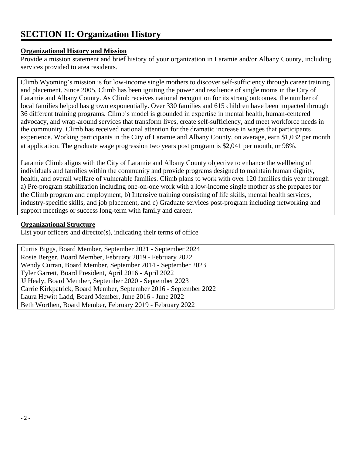# **SECTION II: Organization History**

#### **Organizational History and Mission**

Provide a mission statement and brief history of your organization in Laramie and/or Albany County, including services provided to area residents.

Climb Wyoming's mission is for low-income single mothers to discover self-sufficiency through career training and placement. Since 2005, Climb has been igniting the power and resilience of single moms in the City of Laramie and Albany County. As Climb receives national recognition for its strong outcomes, the number of local families helped has grown exponentially. Over 330 families and 615 children have been impacted through 36 different training programs. Climb's model is grounded in expertise in mental health, human-centered advocacy, and wrap-around services that transform lives, create self-sufficiency, and meet workforce needs in the community. Climb has received national attention for the dramatic increase in wages that participants experience. Working participants in the City of Laramie and Albany County, on average, earn \$1,032 per month at application. The graduate wage progression two years post program is \$2,041 per month, or 98%.

Laramie Climb aligns with the City of Laramie and Albany County objective to enhance the wellbeing of individuals and families within the community and provide programs designed to maintain human dignity, health, and overall welfare of vulnerable families. Climb plans to work with over 120 families this year through a) Pre-program stabilization including one-on-one work with a low-income single mother as she prepares for the Climb program and employment, b) Intensive training consisting of life skills, mental health services, industry-specific skills, and job placement, and c) Graduate services post-program including networking and support meetings or success long-term with family and career.

### **Organizational Structure**

List your officers and director(s), indicating their terms of office

Curtis Biggs, Board Member, September 2021 - September 2024 Rosie Berger, Board Member, February 2019 - February 2022 Wendy Curran, Board Member, September 2014 - September 2023 Tyler Garrett, Board President, April 2016 - April 2022 JJ Healy, Board Member, September 2020 - September 2023 Carrie Kirkpatrick, Board Member, September 2016 - September 2022 Laura Hewitt Ladd, Board Member, June 2016 - June 2022 Beth Worthen, Board Member, February 2019 - February 2022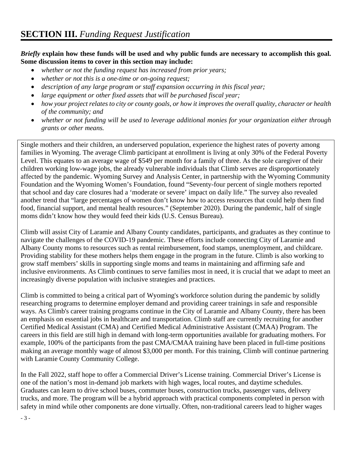### *Briefly* **explain how these funds will be used and why public funds are necessary to accomplish this goal. Some discussion items to cover in this section may include:**

- *whether or not the funding request has increased from prior years;*
- *whether or not this is a one-time or on-going request;*
- *description of any large program or staff expansion occurring in this fiscal year;*
- *large equipment or other fixed assets that will be purchased fiscal year;*
- *how your project relates to city or county goals, or how it improves the overall quality, character or health of the community; and*
- *whether or not funding will be used to leverage additional monies for your organization either through grants or other means.*

Single mothers and their children, an underserved population, experience the highest rates of poverty among families in Wyoming. The average Climb participant at enrollment is living at only 30% of the Federal Poverty Level. This equates to an average wage of \$549 per month for a family of three. As the sole caregiver of their children working low-wage jobs, the already vulnerable individuals that Climb serves are disproportionately affected by the pandemic. Wyoming Survey and Analysis Center, in partnership with the Wyoming Community Foundation and the Wyoming Women's Foundation, found "Seventy-four percent of single mothers reported that school and day care closures had a 'moderate or severe' impact on daily life." The survey also revealed another trend that "large percentages of women don't know how to access resources that could help them find food, financial support, and mental health resources." (September 2020). During the pandemic, half of single moms didn't know how they would feed their kids (U.S. Census Bureau).

Climb will assist City of Laramie and Albany County candidates, participants, and graduates as they continue to navigate the challenges of the COVID-19 pandemic. These efforts include connecting City of Laramie and Albany County moms to resources such as rental reimbursement, food stamps, unemployment, and childcare. Providing stability for these mothers helps them engage in the program in the future. Climb is also working to grow staff members' skills in supporting single moms and teams in maintaining and affirming safe and inclusive environments. As Climb continues to serve families most in need, it is crucial that we adapt to meet an increasingly diverse population with inclusive strategies and practices.

Climb is committed to being a critical part of Wyoming's workforce solution during the pandemic by solidly researching programs to determine employer demand and providing career trainings in safe and responsible ways. As Climb's career training programs continue in the City of Laramie and Albany County, there has been an emphasis on essential jobs in healthcare and transportation. Climb staff are currently recruiting for another Certified Medical Assistant (CMA) and Certified Medical Administrative Assistant (CMAA) Program. The careers in this field are still high in demand with long-term opportunities available for graduating mothers. For example, 100% of the participants from the past CMA/CMAA training have been placed in full-time positions making an average monthly wage of almost \$3,000 per month. For this training, Climb will continue partnering with Laramie County Community College.

In the Fall 2022, staff hope to offer a Commercial Driver's License training. Commercial Driver's License is one of the nation's most in-demand job markets with high wages, local routes, and daytime schedules. Graduates can learn to drive school buses, commuter buses, construction trucks, passenger vans, delivery trucks, and more. The program will be a hybrid approach with practical components completed in person with safety in mind while other components are done virtually. Often, non-traditional careers lead to higher wages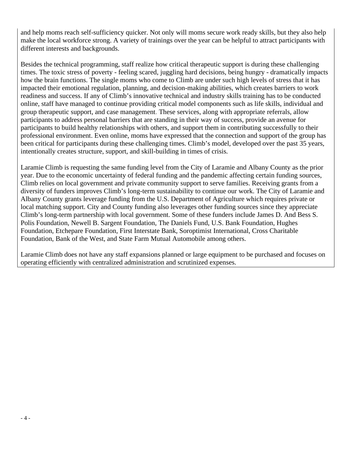and help moms reach self-sufficiency quicker. Not only will moms secure work ready skills, but they also help make the local workforce strong. A variety of trainings over the year can be helpful to attract participants with different interests and backgrounds.

Besides the technical programming, staff realize how critical therapeutic support is during these challenging times. The toxic stress of poverty - feeling scared, juggling hard decisions, being hungry - dramatically impacts how the brain functions. The single moms who come to Climb are under such high levels of stress that it has impacted their emotional regulation, planning, and decision-making abilities, which creates barriers to work readiness and success. If any of Climb's innovative technical and industry skills training has to be conducted online, staff have managed to continue providing critical model components such as life skills, individual and group therapeutic support, and case management. These services, along with appropriate referrals, allow participants to address personal barriers that are standing in their way of success, provide an avenue for participants to build healthy relationships with others, and support them in contributing successfully to their professional environment. Even online, moms have expressed that the connection and support of the group has been critical for participants during these challenging times. Climb's model, developed over the past 35 years, intentionally creates structure, support, and skill-building in times of crisis.

Laramie Climb is requesting the same funding level from the City of Laramie and Albany County as the prior year. Due to the economic uncertainty of federal funding and the pandemic affecting certain funding sources, Climb relies on local government and private community support to serve families. Receiving grants from a diversity of funders improves Climb's long-term sustainability to continue our work. The City of Laramie and Albany County grants leverage funding from the U.S. Department of Agriculture which requires private or local matching support. City and County funding also leverages other funding sources since they appreciate Climb's long-term partnership with local government. Some of these funders include James D. And Bess S. Polis Foundation, Newell B. Sargent Foundation, The Daniels Fund, U.S. Bank Foundation, Hughes Foundation, Etchepare Foundation, First Interstate Bank, Soroptimist International, Cross Charitable Foundation, Bank of the West, and State Farm Mutual Automobile among others.

Laramie Climb does not have any staff expansions planned or large equipment to be purchased and focuses on operating efficiently with centralized administration and scrutinized expenses.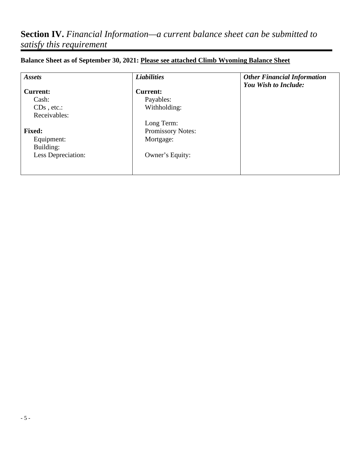# **Section IV.** *Financial Information—a current balance sheet can be submitted to satisfy this requirement*

| Assets             | <b>Liabilities</b> | <b>Other Financial Information</b> |
|--------------------|--------------------|------------------------------------|
| <b>Current:</b>    | <b>Current:</b>    | You Wish to Include:               |
| Cash:              | Payables:          |                                    |
| $CDs$ , etc.:      | Withholding:       |                                    |
| Receivables:       |                    |                                    |
|                    | Long Term:         |                                    |
| <b>Fixed:</b>      | Promissory Notes:  |                                    |
| Equipment:         | Mortgage:          |                                    |
| Building:          |                    |                                    |
| Less Depreciation: | Owner's Equity:    |                                    |
|                    |                    |                                    |
|                    |                    |                                    |

## **Balance Sheet as of September 30, 2021: Please see attached Climb Wyoming Balance Sheet**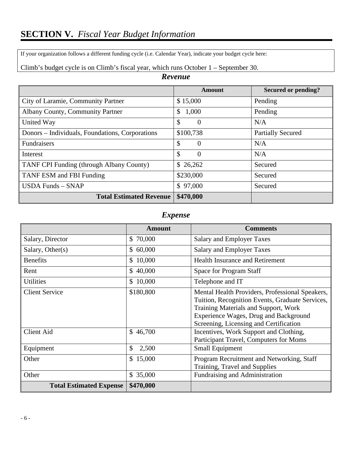If your organization follows a different funding cycle (i.e. Calendar Year), indicate your budget cycle here:

|                                                 | Amount                | Secured or pending?      |
|-------------------------------------------------|-----------------------|--------------------------|
| City of Laramie, Community Partner              | \$15,000              | Pending                  |
| <b>Albany County, Community Partner</b>         | 1,000<br>$\mathbb{S}$ | Pending                  |
| United Way                                      | \$<br>$\theta$        | N/A                      |
| Donors – Individuals, Foundations, Corporations | \$100,738             | <b>Partially Secured</b> |
| <b>Fundraisers</b>                              | \$<br>$\Omega$        | N/A                      |
| Interest                                        | \$<br>$\Omega$        | N/A                      |
| TANF CPI Funding (through Albany County)        | \$26,262              | Secured                  |
| TANF ESM and FBI Funding                        | \$230,000             | Secured                  |
| $USDA$ Funds $-$ SNAP                           | \$97,000              | Secured                  |
| <b>Total Estimated Revenue</b>                  | \$470,000             |                          |

## *Revenue*

## *Expense*

|                                | <b>Amount</b>          | <b>Comments</b>                                                                                                                                                                                                               |
|--------------------------------|------------------------|-------------------------------------------------------------------------------------------------------------------------------------------------------------------------------------------------------------------------------|
| Salary, Director               | \$70,000               | <b>Salary and Employer Taxes</b>                                                                                                                                                                                              |
| Salary, Other $(s)$            | \$60,000               | <b>Salary and Employer Taxes</b>                                                                                                                                                                                              |
| <b>Benefits</b>                | 10,000<br>$\mathbb{S}$ | <b>Health Insurance and Retirement</b>                                                                                                                                                                                        |
| Rent                           | \$40,000               | Space for Program Staff                                                                                                                                                                                                       |
| <b>Utilities</b>               | \$10,000               | Telephone and IT                                                                                                                                                                                                              |
| <b>Client Service</b>          | \$180,800              | Mental Health Providers, Professional Speakers,<br>Tuition, Recognition Events, Graduate Services,<br>Training Materials and Support, Work<br>Experience Wages, Drug and Background<br>Screening, Licensing and Certification |
| <b>Client Aid</b>              | \$46,700               | Incentives, Work Support and Clothing,<br>Participant Travel, Computers for Moms                                                                                                                                              |
| Equipment                      | $\mathcal{S}$<br>2,500 | <b>Small Equipment</b>                                                                                                                                                                                                        |
| Other                          | 15,000<br>$\mathbb{S}$ | Program Recruitment and Networking, Staff<br>Training, Travel and Supplies                                                                                                                                                    |
| Other                          | \$35,000               | Fundraising and Administration                                                                                                                                                                                                |
| <b>Total Estimated Expense</b> | \$470,000              |                                                                                                                                                                                                                               |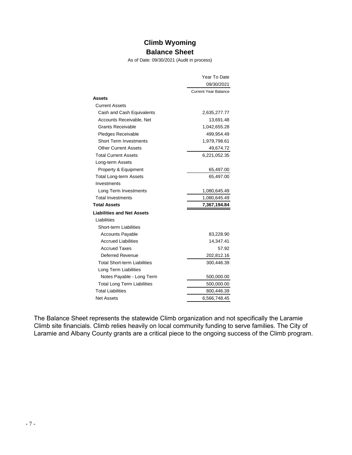## **Climb Wyoming Balance Sheet**

As of Date: 09/30/2021 (Audit in process)

|                                     | Year To Date                |
|-------------------------------------|-----------------------------|
| 09/30/2021                          |                             |
|                                     | <b>Current Year Balance</b> |
| Assets                              |                             |
| <b>Current Assets</b>               |                             |
| Cash and Cash Equivalents           | 2,635,277.77                |
| Accounts Receivable, Net            | 13,691.48                   |
| Grants Receivable                   | 1,042,655.28                |
| <b>Pledges Receivable</b>           | 499,954.49                  |
| <b>Short Term Investments</b>       | 1,979,798.61                |
| <b>Other Current Assets</b>         | 49,674.72                   |
| <b>Total Current Assets</b>         | 6,221,052.35                |
| Long-term Assets                    |                             |
| Property & Equipment                | 65,497.00                   |
| <b>Total Long-term Assets</b>       | 65,497.00                   |
| Investments                         |                             |
| Long Term Investments               | 1,080,645.49                |
| <b>Total Investments</b>            | 1,080,645.49                |
| <b>Total Assets</b>                 | 7,367,194.84                |
| <b>Liabilities and Net Assets</b>   |                             |
| Liabilities                         |                             |
| Short-term Liabilities              |                             |
| <b>Accounts Payable</b>             | 83,228.90                   |
| <b>Accrued Liabilities</b>          | 14,347.41                   |
| <b>Accrued Taxes</b>                | 57.92                       |
| Deferred Revenue                    | 202,812.16                  |
| <b>Total Short-term Liabilities</b> | 300,446.39                  |
| Long Term Liabilities               |                             |
| Notes Payable - Long Term           | 500,000.00                  |
| <b>Total Long Term Liabilities</b>  | 500,000.00                  |
| <b>Total Liabilities</b>            | 800,446.39                  |
| <b>Net Assets</b>                   | 6,566,748.45                |

The Balance Sheet represents the statewide Climb organization and not specifically the Laramie Climb site financials. Climb relies heavily on local community funding to serve families. The City of Laramie and Albany County grants are a critical piece to the ongoing success of the Climb program.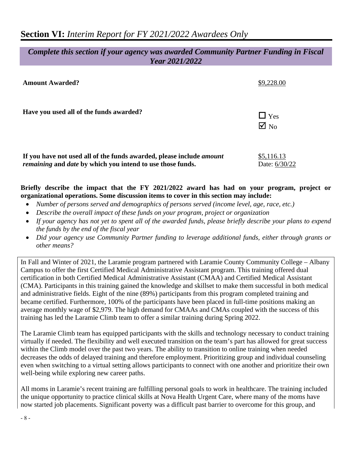## *Complete this section if your agency was awarded Community Partner Funding in Fiscal Year 2021/2022*

| <b>Amount Awarded?</b>                                                                                                                                  | \$9,228.00                   |
|---------------------------------------------------------------------------------------------------------------------------------------------------------|------------------------------|
| Have you used all of the funds awarded?                                                                                                                 | $\Box$ Yes<br>$\boxtimes$ No |
| If you have not used all of the funds awarded, please include <i>amount</i><br><i>remaining</i> and <i>date</i> by which you intend to use those funds. | \$5,116.13<br>Date: 6/30/22  |

### **Briefly describe the impact that the FY 2021/2022 award has had on your program, project or organizational operations. Some discussion items to cover in this section may include:**

- *Number of persons served and demographics of persons served (income level, age, race, etc.)*
- *Describe the overall impact of these funds on your program, project or organization*
- *If your agency has not yet to spent all of the awarded funds, please briefly describe your plans to expend the funds by the end of the fiscal year*
- *Did your agency use Community Partner funding to leverage additional funds, either through grants or other means?*

In Fall and Winter of 2021, the Laramie program partnered with Laramie County Community College – Albany Campus to offer the first Certified Medical Administrative Assistant program. This training offered dual certification in both Certified Medical Administrative Assistant (CMAA) and Certified Medical Assistant (CMA). Participants in this training gained the knowledge and skillset to make them successful in both medical and administrative fields. Eight of the nine (89%) participants from this program completed training and became certified. Furthermore, 100% of the participants have been placed in full-time positions making an average monthly wage of \$2,979. The high demand for CMAAs and CMAs coupled with the success of this training has led the Laramie Climb team to offer a similar training during Spring 2022.

The Laramie Climb team has equipped participants with the skills and technology necessary to conduct training virtually if needed. The flexibility and well executed transition on the team's part has allowed for great success within the Climb model over the past two years. The ability to transition to online training when needed decreases the odds of delayed training and therefore employment. Prioritizing group and individual counseling even when switching to a virtual setting allows participants to connect with one another and prioritize their own well-being while exploring new career paths.

All moms in Laramie's recent training are fulfilling personal goals to work in healthcare. The training included the unique opportunity to practice clinical skills at Nova Health Urgent Care, where many of the moms have now started job placements. Significant poverty was a difficult past barrier to overcome for this group, and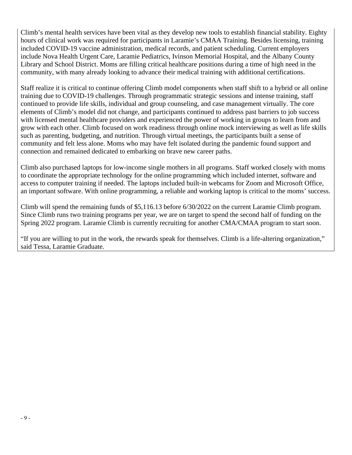Climb's mental health services have been vital as they develop new tools to establish financial stability. Eighty hours of clinical work was required for participants in Laramie's CMAA Training. Besides licensing, training included COVID-19 vaccine administration, medical records, and patient scheduling. Current employers include Nova Health Urgent Care, Laramie Pediatrics, Ivinson Memorial Hospital, and the Albany County Library and School District. Moms are filling critical healthcare positions during a time of high need in the community, with many already looking to advance their medical training with additional certifications.

Staff realize it is critical to continue offering Climb model components when staff shift to a hybrid or all online training due to COVID-19 challenges. Through programmatic strategic sessions and intense training, staff continued to provide life skills, individual and group counseling, and case management virtually. The core elements of Climb's model did not change, and participants continued to address past barriers to job success with licensed mental healthcare providers and experienced the power of working in groups to learn from and grow with each other. Climb focused on work readiness through online mock interviewing as well as life skills such as parenting, budgeting, and nutrition. Through virtual meetings, the participants built a sense of community and felt less alone. Moms who may have felt isolated during the pandemic found support and connection and remained dedicated to embarking on brave new career paths.

Climb also purchased laptops for low-income single mothers in all programs. Staff worked closely with moms to coordinate the appropriate technology for the online programming which included internet, software and access to computer training if needed. The laptops included built-in webcams for Zoom and Microsoft Office, an important software. With online programming, a reliable and working laptop is critical to the moms' success.

Climb will spend the remaining funds of \$5,116.13 before 6/30/2022 on the current Laramie Climb program. Since Climb runs two training programs per year, we are on target to spend the second half of funding on the Spring 2022 program. Laramie Climb is currently recruiting for another CMA/CMAA program to start soon.

"If you are willing to put in the work, the rewards speak for themselves. Climb is a life-altering organization," said Tessa, Laramie Graduate.